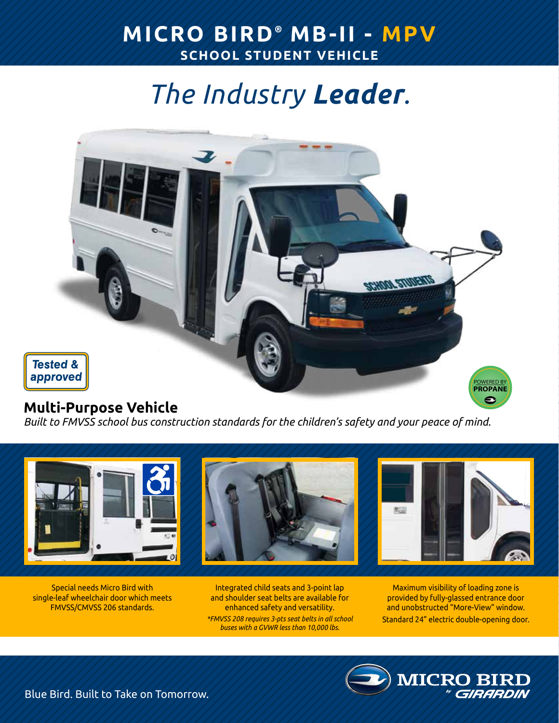# *The Industry Leader.*



### **Multi-Purpose Vehicle**

*Built to FMVSS school bus construction standards for the children's safety and your peace of mind.*



Special needs Micro Bird with single-leaf wheelchair door which meets FMVSS/CMVSS 206 standards.

Integrated child seats and 3-point lap and shoulder seat belts are available for enhanced safety and versatility. *\*FMVSS 208 requires 3-pts seat belts in all school buses with a GVWR less than 10,000 lbs.*

Maximum visibility of loading zone is provided by fully-glassed entrance door and unobstructed "More-View" window. Standard 24" electric double-opening door.

**MICRO BI** 

Blue Bird. Built to Take on Tomorrow.